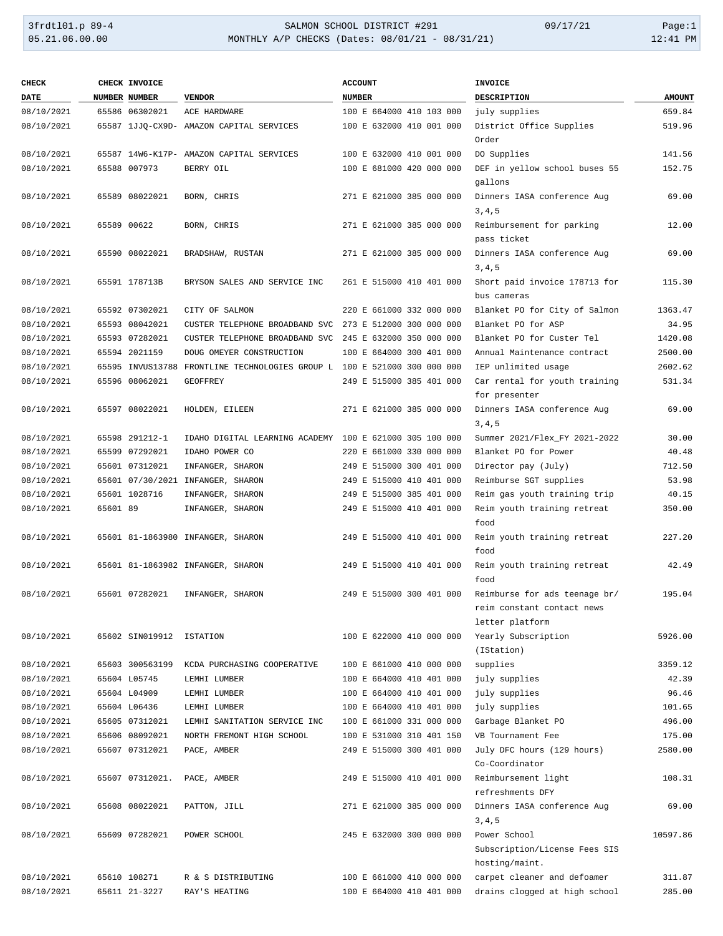# 3frdtl01.p 89-4 <br>
35.21.06.00.00 <br>
35.21.06.00.00 <br>
35.21.06.00.00 <br>
35.21.06.00.00 <br>
31:41 PM MONTHLY A/P CHECKS (Dates: 08/01/21 - 08/31/21)

| <b>CHECK</b> |          | CHECK INVOICE            |                                                                          | <b>ACCOUNT</b>           | <b>INVOICE</b>                                                                 |               |
|--------------|----------|--------------------------|--------------------------------------------------------------------------|--------------------------|--------------------------------------------------------------------------------|---------------|
| <b>DATE</b>  |          | NUMBER NUMBER            | <b>VENDOR</b>                                                            | <b>NUMBER</b>            | <b>DESCRIPTION</b>                                                             | <b>AMOUNT</b> |
| 08/10/2021   |          | 65586 06302021           | ACE HARDWARE                                                             | 100 E 664000 410 103 000 | july supplies                                                                  | 659.84        |
| 08/10/2021   |          |                          | 65587 1JJQ-CX9D- AMAZON CAPITAL SERVICES                                 | 100 E 632000 410 001 000 | District Office Supplies<br>Order                                              | 519.96        |
| 08/10/2021   |          |                          | 65587 14W6-K17P- AMAZON CAPITAL SERVICES                                 | 100 E 632000 410 001 000 | DO Supplies                                                                    | 141.56        |
| 08/10/2021   |          | 65588 007973             | BERRY OIL                                                                | 100 E 681000 420 000 000 | DEF in yellow school buses 55                                                  | 152.75        |
|              |          |                          |                                                                          |                          | gallons                                                                        |               |
| 08/10/2021   |          | 65589 08022021           | BORN, CHRIS                                                              | 271 E 621000 385 000 000 | Dinners IASA conference Aug<br>3, 4, 5                                         | 69.00         |
| 08/10/2021   |          | 65589 00622              | BORN, CHRIS                                                              | 271 E 621000 385 000 000 | Reimbursement for parking<br>pass ticket                                       | 12.00         |
| 08/10/2021   |          | 65590 08022021           | BRADSHAW, RUSTAN                                                         | 271 E 621000 385 000 000 | Dinners IASA conference Aug<br>3, 4, 5                                         | 69.00         |
| 08/10/2021   |          | 65591 178713B            | BRYSON SALES AND SERVICE INC                                             | 261 E 515000 410 401 000 | Short paid invoice 178713 for<br>bus cameras                                   | 115.30        |
| 08/10/2021   |          | 65592 07302021           | CITY OF SALMON                                                           | 220 E 661000 332 000 000 | Blanket PO for City of Salmon                                                  | 1363.47       |
| 08/10/2021   |          | 65593 08042021           | CUSTER TELEPHONE BROADBAND SVC                                           | 273 E 512000 300 000 000 | Blanket PO for ASP                                                             | 34.95         |
| 08/10/2021   |          | 65593 07282021           | CUSTER TELEPHONE BROADBAND SVC                                           | 245 E 632000 350 000 000 | Blanket PO for Custer Tel                                                      | 1420.08       |
| 08/10/2021   |          | 65594 2021159            | DOUG OMEYER CONSTRUCTION                                                 | 100 E 664000 300 401 000 | Annual Maintenance contract                                                    | 2500.00       |
| 08/10/2021   |          |                          | 65595 INVUS13788 FRONTLINE TECHNOLOGIES GROUP L 100 E 521000 300 000 000 |                          | IEP unlimited usage                                                            | 2602.62       |
| 08/10/2021   |          | 65596 08062021           | <b>GEOFFREY</b>                                                          | 249 E 515000 385 401 000 | Car rental for youth training<br>for presenter                                 | 531.34        |
| 08/10/2021   |          | 65597 08022021           | HOLDEN, EILEEN                                                           | 271 E 621000 385 000 000 | Dinners IASA conference Aug<br>3, 4, 5                                         | 69.00         |
| 08/10/2021   |          | 65598 291212-1           | IDAHO DIGITAL LEARNING ACADEMY 100 E 621000 305 100 000                  |                          | Summer 2021/Flex_FY 2021-2022                                                  | 30.00         |
| 08/10/2021   |          | 65599 07292021           | IDAHO POWER CO                                                           | 220 E 661000 330 000 000 | Blanket PO for Power                                                           | 40.48         |
| 08/10/2021   |          | 65601 07312021           | INFANGER, SHARON                                                         | 249 E 515000 300 401 000 | Director pay (July)                                                            | 712.50        |
| 08/10/2021   |          |                          | 65601 07/30/2021 INFANGER, SHARON                                        | 249 E 515000 410 401 000 | Reimburse SGT supplies                                                         | 53.98         |
| 08/10/2021   |          | 65601 1028716            | INFANGER, SHARON                                                         | 249 E 515000 385 401 000 | Reim gas youth training trip                                                   | 40.15         |
| 08/10/2021   | 65601 89 |                          | INFANGER, SHARON                                                         | 249 E 515000 410 401 000 | Reim youth training retreat                                                    | 350.00        |
|              |          |                          | 65601 81-1863980 INFANGER, SHARON                                        | 249 E 515000 410 401 000 | food                                                                           | 227.20        |
| 08/10/2021   |          |                          |                                                                          |                          | Reim youth training retreat<br>food                                            |               |
| 08/10/2021   |          |                          | 65601 81-1863982 INFANGER, SHARON                                        | 249 E 515000 410 401 000 | Reim youth training retreat<br>food                                            | 42.49         |
| 08/10/2021   |          | 65601 07282021           | INFANGER, SHARON                                                         | 249 E 515000 300 401 000 | Reimburse for ads teenage br/<br>reim constant contact news<br>letter platform | 195.04        |
| 08/10/2021   |          | 65602 SIN019912 ISTATION |                                                                          | 100 E 622000 410 000 000 | Yearly Subscription<br>(IStation)                                              | 5926.00       |
| 08/10/2021   |          | 65603 300563199          | KCDA PURCHASING COOPERATIVE                                              | 100 E 661000 410 000 000 | supplies                                                                       | 3359.12       |
| 08/10/2021   |          | 65604 L05745             | LEMHI LUMBER                                                             | 100 E 664000 410 401 000 | july supplies                                                                  | 42.39         |
| 08/10/2021   |          | 65604 L04909             | LEMHI LUMBER                                                             | 100 E 664000 410 401 000 | july supplies                                                                  | 96.46         |
| 08/10/2021   |          | 65604 L06436             | LEMHI LUMBER                                                             | 100 E 664000 410 401 000 | july supplies                                                                  | 101.65        |
| 08/10/2021   |          | 65605 07312021           | LEMHI SANITATION SERVICE INC                                             | 100 E 661000 331 000 000 | Garbage Blanket PO                                                             | 496.00        |
| 08/10/2021   |          | 65606 08092021           | NORTH FREMONT HIGH SCHOOL                                                | 100 E 531000 310 401 150 | VB Tournament Fee                                                              | 175.00        |
| 08/10/2021   |          | 65607 07312021           | PACE, AMBER                                                              | 249 E 515000 300 401 000 | July DFC hours (129 hours)                                                     | 2580.00       |
|              |          |                          |                                                                          |                          | Co-Coordinator                                                                 |               |
| 08/10/2021   |          | 65607 07312021.          | PACE, AMBER                                                              | 249 E 515000 410 401 000 | Reimbursement light<br>refreshments DFY                                        | 108.31        |
| 08/10/2021   |          | 65608 08022021           | PATTON, JILL                                                             | 271 E 621000 385 000 000 | Dinners IASA conference Aug<br>3, 4, 5                                         | 69.00         |
| 08/10/2021   |          | 65609 07282021           | POWER SCHOOL                                                             | 245 E 632000 300 000 000 | Power School                                                                   | 10597.86      |
|              |          |                          |                                                                          |                          | Subscription/License Fees SIS                                                  |               |
|              |          |                          |                                                                          |                          | hosting/maint.                                                                 |               |
| 08/10/2021   |          | 65610 108271             | R & S DISTRIBUTING                                                       | 100 E 661000 410 000 000 | carpet cleaner and defoamer                                                    | 311.87        |
| 08/10/2021   |          | 65611 21-3227            | RAY'S HEATING                                                            | 100 E 664000 410 401 000 | drains clogged at high school                                                  | 285.00        |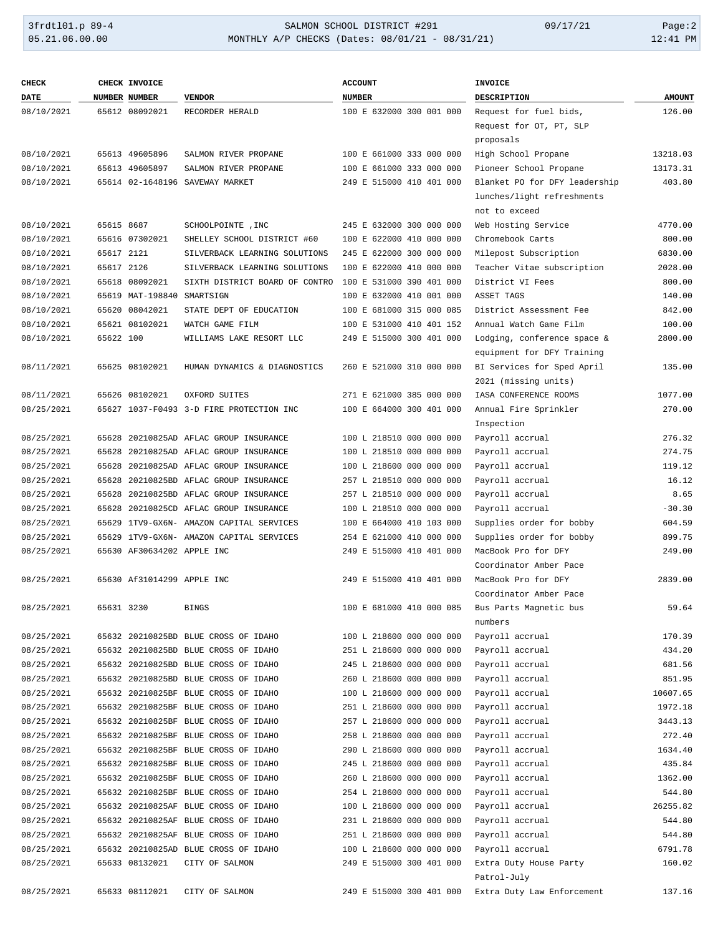### 3frdtl01.p 89-4 <br>
35.21.06.00.00 <br>
35.21.06.00.00 <br>
35.21.06.00.00 <br>
35.21.06.00.00 <br>
35.21.06.00.00 <br>
31:41 PM MONTHLY A/P CHECKS (Dates: 08/01/21 - 08/31/21)

| <b>CHECK</b> |            | <b>CHECK INVOICE</b>       |                                          | <b>ACCOUNT</b>           | <b>INVOICE</b>                                            |                   |
|--------------|------------|----------------------------|------------------------------------------|--------------------------|-----------------------------------------------------------|-------------------|
| <b>DATE</b>  |            | NUMBER NUMBER              | <b>VENDOR</b>                            | <b>NUMBER</b>            | <b>DESCRIPTION</b>                                        | <b>AMOUNT</b>     |
| 08/10/2021   |            | 65612 08092021             | RECORDER HERALD                          | 100 E 632000 300 001 000 | Request for fuel bids,                                    | 126.00            |
|              |            |                            |                                          |                          | Request for OT, PT, SLP                                   |                   |
|              |            |                            |                                          |                          | proposals                                                 |                   |
| 08/10/2021   |            | 65613 49605896             | SALMON RIVER PROPANE                     | 100 E 661000 333 000 000 | High School Propane                                       | 13218.03          |
| 08/10/2021   |            | 65613 49605897             | SALMON RIVER PROPANE                     | 100 E 661000 333 000 000 | Pioneer School Propane                                    | 13173.31          |
| 08/10/2021   |            |                            | 65614 02-1648196 SAVEWAY MARKET          | 249 E 515000 410 401 000 | Blanket PO for DFY leadership                             | 403.80            |
|              |            |                            |                                          |                          | lunches/light refreshments                                |                   |
|              |            |                            |                                          |                          | not to exceed                                             |                   |
| 08/10/2021   | 65615 8687 |                            | SCHOOLPOINTE, INC                        | 245 E 632000 300 000 000 | Web Hosting Service                                       | 4770.00           |
| 08/10/2021   |            | 65616 07302021             | SHELLEY SCHOOL DISTRICT #60              | 100 E 622000 410 000 000 | Chromebook Carts                                          | 800.00            |
| 08/10/2021   | 65617 2121 |                            | SILVERBACK LEARNING SOLUTIONS            | 245 E 622000 300 000 000 | Milepost Subscription                                     | 6830.00           |
| 08/10/2021   | 65617 2126 |                            | SILVERBACK LEARNING SOLUTIONS            | 100 E 622000 410 000 000 | Teacher Vitae subscription                                | 2028.00           |
| 08/10/2021   |            | 65618 08092021             | SIXTH DISTRICT BOARD OF CONTRO           | 100 E 531000 390 401 000 | District VI Fees                                          | 800.00            |
| 08/10/2021   |            | 65619 MAT-198840 SMARTSIGN |                                          | 100 E 632000 410 001 000 | ASSET TAGS                                                | 140.00            |
| 08/10/2021   |            | 65620 08042021             | STATE DEPT OF EDUCATION                  | 100 E 681000 315 000 085 | District Assessment Fee                                   | 842.00            |
| 08/10/2021   |            | 65621 08102021             | WATCH GAME FILM                          | 100 E 531000 410 401 152 | Annual Watch Game Film                                    | 100.00<br>2800.00 |
| 08/10/2021   | 65622 100  |                            | WILLIAMS LAKE RESORT LLC                 | 249 E 515000 300 401 000 | Lodging, conference space &<br>equipment for DFY Training |                   |
| 08/11/2021   |            | 65625 08102021             | HUMAN DYNAMICS & DIAGNOSTICS             | 260 E 521000 310 000 000 | BI Services for Sped April                                | 135.00            |
|              |            |                            |                                          |                          | 2021 (missing units)                                      |                   |
| 08/11/2021   |            | 65626 08102021             | OXFORD SUITES                            | 271 E 621000 385 000 000 | IASA CONFERENCE ROOMS                                     | 1077.00           |
| 08/25/2021   |            |                            | 65627 1037-F0493 3-D FIRE PROTECTION INC | 100 E 664000 300 401 000 | Annual Fire Sprinkler                                     | 270.00            |
|              |            |                            |                                          |                          | Inspection                                                |                   |
| 08/25/2021   |            |                            | 65628 20210825AD AFLAC GROUP INSURANCE   | 100 L 218510 000 000 000 | Payroll accrual                                           | 276.32            |
| 08/25/2021   |            |                            | 65628 20210825AD AFLAC GROUP INSURANCE   | 100 L 218510 000 000 000 | Payroll accrual                                           | 274.75            |
| 08/25/2021   |            |                            | 65628 20210825AD AFLAC GROUP INSURANCE   | 100 L 218600 000 000 000 | Payroll accrual                                           | 119.12            |
| 08/25/2021   |            |                            | 65628 20210825BD AFLAC GROUP INSURANCE   | 257 L 218510 000 000 000 | Payroll accrual                                           | 16.12             |
| 08/25/2021   |            |                            | 65628 20210825BD AFLAC GROUP INSURANCE   | 257 L 218510 000 000 000 | Payroll accrual                                           | 8.65              |
| 08/25/2021   |            |                            | 65628 20210825CD AFLAC GROUP INSURANCE   | 100 L 218510 000 000 000 | Payroll accrual                                           | $-30.30$          |
| 08/25/2021   |            |                            | 65629 1TV9-GX6N- AMAZON CAPITAL SERVICES | 100 E 664000 410 103 000 | Supplies order for bobby                                  | 604.59            |
| 08/25/2021   |            |                            | 65629 1TV9-GX6N- AMAZON CAPITAL SERVICES | 254 E 621000 410 000 000 | Supplies order for bobby                                  | 899.75            |
| 08/25/2021   |            | 65630 AF30634202 APPLE INC |                                          | 249 E 515000 410 401 000 | MacBook Pro for DFY                                       | 249.00            |
|              |            |                            |                                          |                          | Coordinator Amber Pace                                    |                   |
| 08/25/2021   |            | 65630 Af31014299 APPLE INC |                                          | 249 E 515000 410 401 000 | MacBook Pro for DFY                                       | 2839.00           |
|              |            |                            |                                          |                          | Coordinator Amber Pace                                    |                   |
| 08/25/2021   | 65631 3230 |                            | BINGS                                    | 100 E 681000 410 000 085 | Bus Parts Magnetic bus                                    | 59.64             |
|              |            |                            |                                          |                          | numbers                                                   |                   |
| 08/25/2021   |            |                            | 65632 20210825BD BLUE CROSS OF IDAHO     | 100 L 218600 000 000 000 | Payroll accrual                                           | 170.39            |
| 08/25/2021   |            |                            | 65632 20210825BD BLUE CROSS OF IDAHO     | 251 L 218600 000 000 000 | Payroll accrual                                           | 434.20            |
| 08/25/2021   |            |                            | 65632 20210825BD BLUE CROSS OF IDAHO     | 245 L 218600 000 000 000 | Payroll accrual                                           | 681.56            |
| 08/25/2021   |            |                            | 65632 20210825BD BLUE CROSS OF IDAHO     | 260 L 218600 000 000 000 | Payroll accrual                                           | 851.95            |
| 08/25/2021   |            |                            | 65632 20210825BF BLUE CROSS OF IDAHO     | 100 L 218600 000 000 000 | Payroll accrual                                           | 10607.65          |
| 08/25/2021   |            |                            | 65632 20210825BF BLUE CROSS OF IDAHO     | 251 L 218600 000 000 000 | Payroll accrual                                           | 1972.18           |
| 08/25/2021   |            |                            | 65632 20210825BF BLUE CROSS OF IDAHO     | 257 L 218600 000 000 000 | Payroll accrual                                           | 3443.13           |
| 08/25/2021   |            |                            | 65632 20210825BF BLUE CROSS OF IDAHO     | 258 L 218600 000 000 000 | Payroll accrual                                           | 272.40            |
| 08/25/2021   |            |                            | 65632 20210825BF BLUE CROSS OF IDAHO     | 290 L 218600 000 000 000 | Payroll accrual                                           | 1634.40           |
| 08/25/2021   |            |                            | 65632 20210825BF BLUE CROSS OF IDAHO     | 245 L 218600 000 000 000 | Payroll accrual                                           | 435.84            |
| 08/25/2021   |            |                            | 65632 20210825BF BLUE CROSS OF IDAHO     | 260 L 218600 000 000 000 | Payroll accrual                                           | 1362.00           |
| 08/25/2021   |            |                            | 65632 20210825BF BLUE CROSS OF IDAHO     | 254 L 218600 000 000 000 | Payroll accrual                                           | 544.80            |
| 08/25/2021   |            |                            | 65632 20210825AF BLUE CROSS OF IDAHO     | 100 L 218600 000 000 000 | Payroll accrual                                           | 26255.82          |
| 08/25/2021   |            |                            | 65632 20210825AF BLUE CROSS OF IDAHO     | 231 L 218600 000 000 000 | Payroll accrual                                           | 544.80            |
| 08/25/2021   |            |                            | 65632 20210825AF BLUE CROSS OF IDAHO     | 251 L 218600 000 000 000 | Payroll accrual                                           | 544.80            |
| 08/25/2021   |            |                            | 65632 20210825AD BLUE CROSS OF IDAHO     | 100 L 218600 000 000 000 | Payroll accrual                                           | 6791.78           |
| 08/25/2021   |            | 65633 08132021             | CITY OF SALMON                           | 249 E 515000 300 401 000 | Extra Duty House Party                                    | 160.02            |
|              |            |                            |                                          |                          | Patrol-July                                               |                   |
| 08/25/2021   |            | 65633 08112021             | CITY OF SALMON                           | 249 E 515000 300 401 000 | Extra Duty Law Enforcement                                | 137.16            |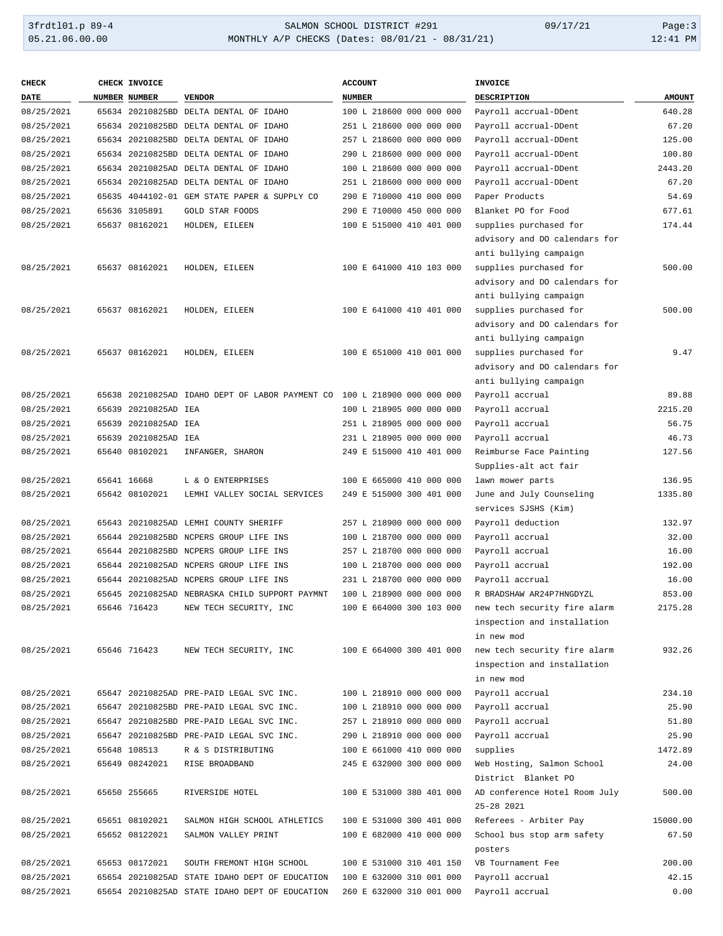## 3frdtl01.p 89-4 <br>
35.21.06.00.00 <br>
35.21.06.00.00 <br>
35.21.06.00.00 <br>
35.21.06.00.00 <br>
35.21.06.00.00 <br>
31:41 PM MONTHLY A/P CHECKS (Dates: 08/01/21 - 08/31/21)

| <b>CHECK</b> | CHECK INVOICE        |                                                                          | <b>ACCOUNT</b>           | <b>INVOICE</b>                |               |
|--------------|----------------------|--------------------------------------------------------------------------|--------------------------|-------------------------------|---------------|
| <b>DATE</b>  | <b>NUMBER NUMBER</b> | <b>VENDOR</b>                                                            | <b>NUMBER</b>            | <b>DESCRIPTION</b>            | <b>AMOUNT</b> |
| 08/25/2021   |                      | 65634 20210825BD DELTA DENTAL OF IDAHO                                   | 100 L 218600 000 000 000 | Payroll accrual-DDent         | 640.28        |
| 08/25/2021   |                      | 65634 20210825BD DELTA DENTAL OF IDAHO                                   | 251 L 218600 000 000 000 | Payroll accrual-DDent         | 67.20         |
| 08/25/2021   |                      | 65634 20210825BD DELTA DENTAL OF IDAHO                                   | 257 L 218600 000 000 000 | Payroll accrual-DDent         | 125.00        |
| 08/25/2021   |                      | 65634 20210825BD DELTA DENTAL OF IDAHO                                   | 290 L 218600 000 000 000 | Payroll accrual-DDent         | 100.80        |
| 08/25/2021   |                      | 65634 20210825AD DELTA DENTAL OF IDAHO                                   | 100 L 218600 000 000 000 | Payroll accrual-DDent         | 2443.20       |
| 08/25/2021   |                      | 65634 20210825AD DELTA DENTAL OF IDAHO                                   | 251 L 218600 000 000 000 | Payroll accrual-DDent         | 67.20         |
| 08/25/2021   |                      | 65635 4044102-01 GEM STATE PAPER & SUPPLY CO                             | 290 E 710000 410 000 000 | Paper Products                | 54.69         |
| 08/25/2021   | 65636 3105891        | GOLD STAR FOODS                                                          | 290 E 710000 450 000 000 | Blanket PO for Food           | 677.61        |
| 08/25/2021   | 65637 08162021       | HOLDEN, EILEEN                                                           | 100 E 515000 410 401 000 | supplies purchased for        | 174.44        |
|              |                      |                                                                          |                          | advisory and DO calendars for |               |
|              |                      |                                                                          |                          | anti bullying campaign        |               |
| 08/25/2021   | 65637 08162021       | HOLDEN, EILEEN                                                           | 100 E 641000 410 103 000 | supplies purchased for        | 500.00        |
|              |                      |                                                                          |                          | advisory and DO calendars for |               |
|              |                      |                                                                          |                          | anti bullying campaign        |               |
| 08/25/2021   | 65637 08162021       | HOLDEN, EILEEN                                                           | 100 E 641000 410 401 000 | supplies purchased for        | 500.00        |
|              |                      |                                                                          |                          | advisory and DO calendars for |               |
|              |                      |                                                                          |                          | anti bullying campaign        |               |
| 08/25/2021   | 65637 08162021       | HOLDEN, EILEEN                                                           |                          | supplies purchased for        | 9.47          |
|              |                      |                                                                          | 100 E 651000 410 001 000 |                               |               |
|              |                      |                                                                          |                          | advisory and DO calendars for |               |
|              |                      |                                                                          |                          | anti bullying campaign        |               |
| 08/25/2021   |                      | 65638 20210825AD IDAHO DEPT OF LABOR PAYMENT CO 100 L 218900 000 000 000 |                          | Payroll accrual               | 89.88         |
| 08/25/2021   | 65639 20210825AD IEA |                                                                          | 100 L 218905 000 000 000 | Payroll accrual               | 2215.20       |
| 08/25/2021   | 65639 20210825AD IEA |                                                                          | 251 L 218905 000 000 000 | Payroll accrual               | 56.75         |
| 08/25/2021   | 65639 20210825AD IEA |                                                                          | 231 L 218905 000 000 000 | Payroll accrual               | 46.73         |
| 08/25/2021   | 65640 08102021       | INFANGER, SHARON                                                         | 249 E 515000 410 401 000 | Reimburse Face Painting       | 127.56        |
|              |                      |                                                                          |                          | Supplies-alt act fair         |               |
| 08/25/2021   | 65641 16668          | L & O ENTERPRISES                                                        | 100 E 665000 410 000 000 | lawn mower parts              | 136.95        |
| 08/25/2021   | 65642 08102021       | LEMHI VALLEY SOCIAL SERVICES                                             | 249 E 515000 300 401 000 | June and July Counseling      | 1335.80       |
|              |                      |                                                                          |                          | services SJSHS (Kim)          |               |
| 08/25/2021   |                      | 65643 20210825AD LEMHI COUNTY SHERIFF                                    | 257 L 218900 000 000 000 | Payroll deduction             | 132.97        |
| 08/25/2021   |                      | 65644 20210825BD NCPERS GROUP LIFE INS                                   | 100 L 218700 000 000 000 | Payroll accrual               | 32.00         |
| 08/25/2021   |                      | 65644 20210825BD NCPERS GROUP LIFE INS                                   | 257 L 218700 000 000 000 | Payroll accrual               | 16.00         |
| 08/25/2021   |                      | 65644 20210825AD NCPERS GROUP LIFE INS                                   | 100 L 218700 000 000 000 | Payroll accrual               | 192.00        |
| 08/25/2021   |                      | 65644 20210825AD NCPERS GROUP LIFE INS                                   | 231 L 218700 000 000 000 | Payroll accrual               | 16.00         |
| 08/25/2021   |                      | 65645 20210825AD NEBRASKA CHILD SUPPORT PAYMNT                           | 100 L 218900 000 000 000 | R BRADSHAW AR24P7HNGDYZL      | 853.00        |
| 08/25/2021   | 65646 716423         | NEW TECH SECURITY, INC                                                   | 100 E 664000 300 103 000 | new tech security fire alarm  | 2175.28       |
|              |                      |                                                                          |                          | inspection and installation   |               |
|              |                      |                                                                          |                          | in new mod                    |               |
| 08/25/2021   | 65646 716423         | NEW TECH SECURITY, INC                                                   | 100 E 664000 300 401 000 | new tech security fire alarm  | 932.26        |
|              |                      |                                                                          |                          | inspection and installation   |               |
|              |                      |                                                                          |                          | in new mod                    |               |
| 08/25/2021   |                      | 65647 20210825AD PRE-PAID LEGAL SVC INC.                                 | 100 L 218910 000 000 000 | Payroll accrual               | 234.10        |
| 08/25/2021   |                      | 65647 20210825BD PRE-PAID LEGAL SVC INC.                                 | 100 L 218910 000 000 000 | Payroll accrual               | 25.90         |
| 08/25/2021   |                      | 65647 20210825BD PRE-PAID LEGAL SVC INC.                                 | 257 L 218910 000 000 000 | Payroll accrual               | 51.80         |
| 08/25/2021   |                      | 65647 20210825BD PRE-PAID LEGAL SVC INC.                                 | 290 L 218910 000 000 000 | Payroll accrual               | 25.90         |
| 08/25/2021   | 65648 108513         | R & S DISTRIBUTING                                                       | 100 E 661000 410 000 000 | supplies                      | 1472.89       |
| 08/25/2021   | 65649 08242021       | RISE BROADBAND                                                           | 245 E 632000 300 000 000 | Web Hosting, Salmon School    | 24.00         |
|              |                      |                                                                          |                          | District Blanket PO           |               |
| 08/25/2021   | 65650 255665         | RIVERSIDE HOTEL                                                          | 100 E 531000 380 401 000 | AD conference Hotel Room July | 500.00        |
|              |                      |                                                                          |                          | 25-28 2021                    |               |
| 08/25/2021   | 65651 08102021       | SALMON HIGH SCHOOL ATHLETICS                                             | 100 E 531000 300 401 000 | Referees - Arbiter Pay        | 15000.00      |
| 08/25/2021   | 65652 08122021       | SALMON VALLEY PRINT                                                      | 100 E 682000 410 000 000 | School bus stop arm safety    | 67.50         |
|              |                      |                                                                          |                          | posters                       |               |
| 08/25/2021   | 65653 08172021       | SOUTH FREMONT HIGH SCHOOL                                                | 100 E 531000 310 401 150 | VB Tournament Fee             | 200.00        |
| 08/25/2021   |                      | 65654 20210825AD STATE IDAHO DEPT OF EDUCATION                           | 100 E 632000 310 001 000 | Payroll accrual               | 42.15         |
| 08/25/2021   |                      |                                                                          |                          |                               | 0.00          |
|              |                      | 65654 20210825AD STATE IDAHO DEPT OF EDUCATION                           | 260 E 632000 310 001 000 | Payroll accrual               |               |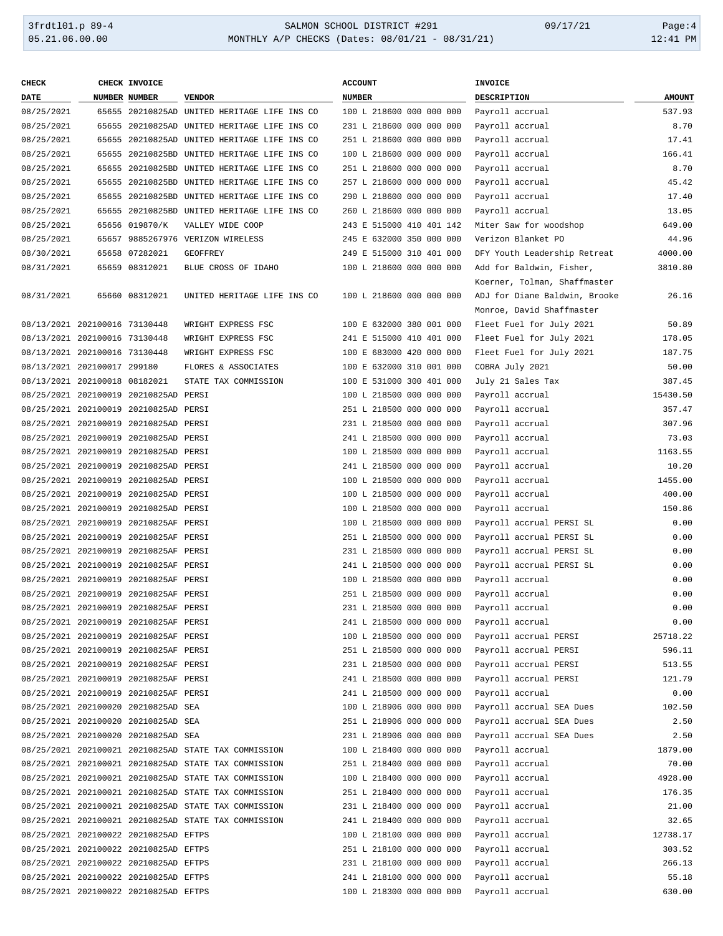| CHECK                         | CHECK INVOICE                         |                                                      | <b>ACCOUNT</b>           | INVOICE                       |               |
|-------------------------------|---------------------------------------|------------------------------------------------------|--------------------------|-------------------------------|---------------|
| <b>DATE</b>                   | <b>NUMBER NUMBER</b>                  | <b>VENDOR</b>                                        | <b>NUMBER</b>            | DESCRIPTION                   | <b>AMOUNT</b> |
| 08/25/2021                    |                                       | 65655 20210825AD UNITED HERITAGE LIFE INS CO         | 100 L 218600 000 000 000 | Payroll accrual               | 537.93        |
| 08/25/2021                    |                                       | 65655 20210825AD UNITED HERITAGE LIFE INS CO         | 231 L 218600 000 000 000 | Payroll accrual               | 8.70          |
| 08/25/2021                    |                                       | 65655 20210825AD UNITED HERITAGE LIFE INS CO         | 251 L 218600 000 000 000 | Payroll accrual               | 17.41         |
| 08/25/2021                    |                                       | 65655 20210825BD UNITED HERITAGE LIFE INS CO         | 100 L 218600 000 000 000 | Payroll accrual               | 166.41        |
| 08/25/2021                    |                                       | 65655 20210825BD UNITED HERITAGE LIFE INS CO         | 251 L 218600 000 000 000 | Payroll accrual               | 8.70          |
| 08/25/2021                    |                                       | 65655 20210825BD UNITED HERITAGE LIFE INS CO         | 257 L 218600 000 000 000 | Payroll accrual               | 45.42         |
| 08/25/2021                    |                                       | 65655 20210825BD UNITED HERITAGE LIFE INS CO         | 290 L 218600 000 000 000 | Payroll accrual               | 17.40         |
| 08/25/2021                    |                                       | 65655 20210825BD UNITED HERITAGE LIFE INS CO         | 260 L 218600 000 000 000 | Payroll accrual               | 13.05         |
| 08/25/2021                    | 65656 019870/K                        | VALLEY WIDE COOP                                     | 243 E 515000 410 401 142 | Miter Saw for woodshop        | 649.00        |
| 08/25/2021                    |                                       | 65657 9885267976 VERIZON WIRELESS                    | 245 E 632000 350 000 000 | Verizon Blanket PO            | 44.96         |
| 08/30/2021                    | 65658 07282021                        | <b>GEOFFREY</b>                                      | 249 E 515000 310 401 000 | DFY Youth Leadership Retreat  | 4000.00       |
| 08/31/2021                    | 65659 08312021                        | BLUE CROSS OF IDAHO                                  | 100 L 218600 000 000 000 | Add for Baldwin, Fisher,      | 3810.80       |
|                               |                                       |                                                      |                          | Koerner, Tolman, Shaffmaster  |               |
| 08/31/2021                    | 65660 08312021                        | UNITED HERITAGE LIFE INS CO                          | 100 L 218600 000 000 000 | ADJ for Diane Baldwin, Brooke | 26.16         |
|                               |                                       |                                                      |                          | Monroe, David Shaffmaster     |               |
| 08/13/2021 202100016 73130448 |                                       | WRIGHT EXPRESS FSC                                   | 100 E 632000 380 001 000 | Fleet Fuel for July 2021      | 50.89         |
| 08/13/2021 202100016 73130448 |                                       | WRIGHT EXPRESS FSC                                   | 241 E 515000 410 401 000 | Fleet Fuel for July 2021      | 178.05        |
| 08/13/2021 202100016 73130448 |                                       | WRIGHT EXPRESS FSC                                   | 100 E 683000 420 000 000 | Fleet Fuel for July 2021      | 187.75        |
| 08/13/2021 202100017 299180   |                                       | FLORES & ASSOCIATES                                  | 100 E 632000 310 001 000 | COBRA July 2021               | 50.00         |
| 08/13/2021 202100018 08182021 |                                       | STATE TAX COMMISSION                                 | 100 E 531000 300 401 000 | July 21 Sales Tax             | 387.45        |
|                               | 08/25/2021 202100019 20210825AD PERSI |                                                      | 100 L 218500 000 000 000 | Payroll accrual               | 15430.50      |
|                               | 08/25/2021 202100019 20210825AD PERSI |                                                      | 251 L 218500 000 000 000 | Payroll accrual               | 357.47        |
|                               | 08/25/2021 202100019 20210825AD PERSI |                                                      | 231 L 218500 000 000 000 | Payroll accrual               | 307.96        |
|                               | 08/25/2021 202100019 20210825AD PERSI |                                                      | 241 L 218500 000 000 000 | Payroll accrual               | 73.03         |
|                               | 08/25/2021 202100019 20210825AD PERSI |                                                      | 100 L 218500 000 000 000 | Payroll accrual               | 1163.55       |
|                               | 08/25/2021 202100019 20210825AD PERSI |                                                      | 241 L 218500 000 000 000 | Payroll accrual               | 10.20         |
|                               | 08/25/2021 202100019 20210825AD PERSI |                                                      | 100 L 218500 000 000 000 | Payroll accrual               | 1455.00       |
|                               |                                       |                                                      |                          |                               |               |
|                               | 08/25/2021 202100019 20210825AD PERSI |                                                      | 100 L 218500 000 000 000 | Payroll accrual               | 400.00        |
|                               | 08/25/2021 202100019 20210825AD PERSI |                                                      | 100 L 218500 000 000 000 | Payroll accrual               | 150.86        |
|                               | 08/25/2021 202100019 20210825AF PERSI |                                                      | 100 L 218500 000 000 000 | Payroll accrual PERSI SL      | 0.00          |
|                               | 08/25/2021 202100019 20210825AF PERSI |                                                      | 251 L 218500 000 000 000 | Payroll accrual PERSI SL      | 0.00          |
|                               | 08/25/2021 202100019 20210825AF PERSI |                                                      | 231 L 218500 000 000 000 | Payroll accrual PERSI SL      | 0.00          |
|                               | 08/25/2021 202100019 20210825AF PERSI |                                                      | 241 L 218500 000 000 000 | Payroll accrual PERSI SL      | 0.00          |
|                               | 08/25/2021 202100019 20210825AF PERSI |                                                      | 100 L 218500 000 000 000 | Payroll accrual               | 0.00          |
|                               | 08/25/2021 202100019 20210825AF PERSI |                                                      | 251 L 218500 000 000 000 | Payroll accrual               | 0.00          |
|                               | 08/25/2021 202100019 20210825AF PERSI |                                                      | 231 L 218500 000 000 000 | Payroll accrual               | 0.00          |
|                               | 08/25/2021 202100019 20210825AF PERSI |                                                      | 241 L 218500 000 000 000 | Payroll accrual               | 0.00          |
|                               | 08/25/2021 202100019 20210825AF PERSI |                                                      | 100 L 218500 000 000 000 | Payroll accrual PERSI         | 25718.22      |
|                               | 08/25/2021 202100019 20210825AF PERSI |                                                      | 251 L 218500 000 000 000 | Payroll accrual PERSI         | 596.11        |
|                               | 08/25/2021 202100019 20210825AF PERSI |                                                      | 231 L 218500 000 000 000 | Payroll accrual PERSI         | 513.55        |
|                               | 08/25/2021 202100019 20210825AF PERSI |                                                      | 241 L 218500 000 000 000 | Payroll accrual PERSI         | 121.79        |
|                               | 08/25/2021 202100019 20210825AF PERSI |                                                      | 241 L 218500 000 000 000 | Payroll accrual               | 0.00          |
|                               | 08/25/2021 202100020 20210825AD SEA   |                                                      | 100 L 218906 000 000 000 | Payroll accrual SEA Dues      | 102.50        |
|                               | 08/25/2021 202100020 20210825AD SEA   |                                                      | 251 L 218906 000 000 000 | Payroll accrual SEA Dues      | 2.50          |
|                               | 08/25/2021 202100020 20210825AD SEA   |                                                      | 231 L 218906 000 000 000 | Payroll accrual SEA Dues      | 2.50          |
|                               |                                       | 08/25/2021 202100021 20210825AD STATE TAX COMMISSION | 100 L 218400 000 000 000 | Payroll accrual               | 1879.00       |
|                               |                                       | 08/25/2021 202100021 20210825AD STATE TAX COMMISSION | 251 L 218400 000 000 000 | Payroll accrual               | 70.00         |
|                               |                                       | 08/25/2021 202100021 20210825AD STATE TAX COMMISSION | 100 L 218400 000 000 000 | Payroll accrual               | 4928.00       |
|                               |                                       | 08/25/2021 202100021 20210825AD STATE TAX COMMISSION | 251 L 218400 000 000 000 | Payroll accrual               | 176.35        |
|                               |                                       | 08/25/2021 202100021 20210825AD STATE TAX COMMISSION | 231 L 218400 000 000 000 | Payroll accrual               | 21.00         |
|                               |                                       | 08/25/2021 202100021 20210825AD STATE TAX COMMISSION | 241 L 218400 000 000 000 | Payroll accrual               | 32.65         |
|                               | 08/25/2021 202100022 20210825AD EFTPS |                                                      | 100 L 218100 000 000 000 | Payroll accrual               | 12738.17      |
|                               | 08/25/2021 202100022 20210825AD EFTPS |                                                      | 251 L 218100 000 000 000 | Payroll accrual               | 303.52        |
|                               | 08/25/2021 202100022 20210825AD EFTPS |                                                      | 231 L 218100 000 000 000 | Payroll accrual               | 266.13        |
|                               | 08/25/2021 202100022 20210825AD EFTPS |                                                      | 241 L 218100 000 000 000 | Payroll accrual               | 55.18         |
|                               | 08/25/2021 202100022 20210825AD EFTPS |                                                      | 100 L 218300 000 000 000 | Payroll accrual               | 630.00        |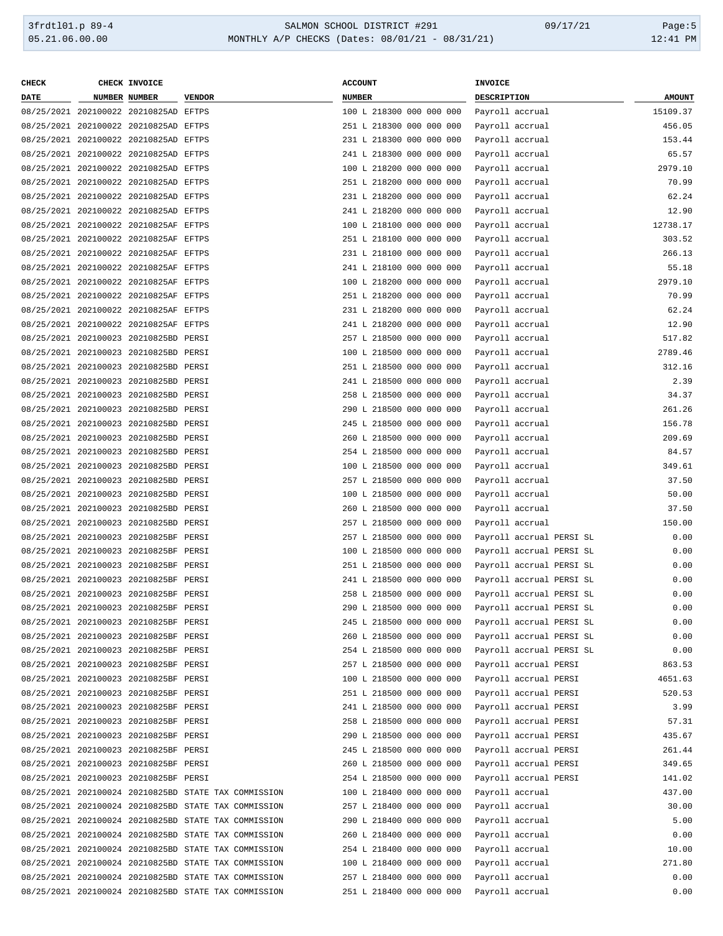### 3frdtl01.p 89-4 <br>
35.21.06.00.00 <br>
35.21.06.00.00 <br>
35.21.06.00.00 <br>
35.21.06.00.00 <br>
31:41 PM MONTHLY A/P CHECKS (Dates: 08/01/21 - 08/31/21)

| <b>CHECK</b> | CHECK INVOICE                         |                                                      | <b>ACCOUNT</b>           | INVOICE                  |               |
|--------------|---------------------------------------|------------------------------------------------------|--------------------------|--------------------------|---------------|
| <b>DATE</b>  | <b>NUMBER NUMBER</b>                  | <b>VENDOR</b>                                        | <b>NUMBER</b>            | <b>DESCRIPTION</b>       | <b>AMOUNT</b> |
|              | 08/25/2021 202100022 20210825AD EFTPS |                                                      | 100 L 218300 000 000 000 | Payroll accrual          | 15109.37      |
|              | 08/25/2021 202100022 20210825AD EFTPS |                                                      | 251 L 218300 000 000 000 | Payroll accrual          | 456.05        |
|              | 08/25/2021 202100022 20210825AD EFTPS |                                                      | 231 L 218300 000 000 000 | Payroll accrual          | 153.44        |
|              | 08/25/2021 202100022 20210825AD EFTPS |                                                      | 241 L 218300 000 000 000 | Payroll accrual          | 65.57         |
|              | 08/25/2021 202100022 20210825AD EFTPS |                                                      | 100 L 218200 000 000 000 | Payroll accrual          | 2979.10       |
|              | 08/25/2021 202100022 20210825AD EFTPS |                                                      | 251 L 218200 000 000 000 | Payroll accrual          | 70.99         |
|              | 08/25/2021 202100022 20210825AD EFTPS |                                                      | 231 L 218200 000 000 000 | Payroll accrual          | 62.24         |
|              | 08/25/2021 202100022 20210825AD EFTPS |                                                      | 241 L 218200 000 000 000 | Payroll accrual          | 12.90         |
|              | 08/25/2021 202100022 20210825AF EFTPS |                                                      | 100 L 218100 000 000 000 | Payroll accrual          | 12738.17      |
|              | 08/25/2021 202100022 20210825AF EFTPS |                                                      | 251 L 218100 000 000 000 | Payroll accrual          | 303.52        |
|              | 08/25/2021 202100022 20210825AF EFTPS |                                                      | 231 L 218100 000 000 000 | Payroll accrual          | 266.13        |
|              | 08/25/2021 202100022 20210825AF EFTPS |                                                      | 241 L 218100 000 000 000 | Payroll accrual          | 55.18         |
|              | 08/25/2021 202100022 20210825AF EFTPS |                                                      | 100 L 218200 000 000 000 | Payroll accrual          | 2979.10       |
|              | 08/25/2021 202100022 20210825AF EFTPS |                                                      | 251 L 218200 000 000 000 | Payroll accrual          | 70.99         |
|              | 08/25/2021 202100022 20210825AF EFTPS |                                                      | 231 L 218200 000 000 000 | Payroll accrual          | 62.24         |
|              | 08/25/2021 202100022 20210825AF EFTPS |                                                      | 241 L 218200 000 000 000 | Payroll accrual          | 12.90         |
|              | 08/25/2021 202100023 20210825BD PERSI |                                                      | 257 L 218500 000 000 000 | Payroll accrual          | 517.82        |
|              |                                       |                                                      | 100 L 218500 000 000 000 |                          | 2789.46       |
|              | 08/25/2021 202100023 20210825BD PERSI |                                                      |                          | Payroll accrual          |               |
|              | 08/25/2021 202100023 20210825BD PERSI |                                                      | 251 L 218500 000 000 000 | Payroll accrual          | 312.16        |
|              | 08/25/2021 202100023 20210825BD PERSI |                                                      | 241 L 218500 000 000 000 | Payroll accrual          | 2.39          |
|              | 08/25/2021 202100023 20210825BD PERSI |                                                      | 258 L 218500 000 000 000 | Payroll accrual          | 34.37         |
|              | 08/25/2021 202100023 20210825BD PERSI |                                                      | 290 L 218500 000 000 000 | Payroll accrual          | 261.26        |
|              | 08/25/2021 202100023 20210825BD PERSI |                                                      | 245 L 218500 000 000 000 | Payroll accrual          | 156.78        |
|              | 08/25/2021 202100023 20210825BD PERSI |                                                      | 260 L 218500 000 000 000 | Payroll accrual          | 209.69        |
|              | 08/25/2021 202100023 20210825BD PERSI |                                                      | 254 L 218500 000 000 000 | Payroll accrual          | 84.57         |
|              | 08/25/2021 202100023 20210825BD PERSI |                                                      | 100 L 218500 000 000 000 | Payroll accrual          | 349.61        |
|              | 08/25/2021 202100023 20210825BD PERSI |                                                      | 257 L 218500 000 000 000 | Payroll accrual          | 37.50         |
|              | 08/25/2021 202100023 20210825BD PERSI |                                                      | 100 L 218500 000 000 000 | Payroll accrual          | 50.00         |
|              | 08/25/2021 202100023 20210825BD PERSI |                                                      | 260 L 218500 000 000 000 | Payroll accrual          | 37.50         |
|              | 08/25/2021 202100023 20210825BD PERSI |                                                      | 257 L 218500 000 000 000 | Payroll accrual          | 150.00        |
|              | 08/25/2021 202100023 20210825BF PERSI |                                                      | 257 L 218500 000 000 000 | Payroll accrual PERSI SL | 0.00          |
|              | 08/25/2021 202100023 20210825BF PERSI |                                                      | 100 L 218500 000 000 000 | Payroll accrual PERSI SL | 0.00          |
|              | 08/25/2021 202100023 20210825BF PERSI |                                                      | 251 L 218500 000 000 000 | Payroll accrual PERSI SL | 0.00          |
|              | 08/25/2021 202100023 20210825BF PERSI |                                                      | 241 L 218500 000 000 000 | Payroll accrual PERSI SL | 0.00          |
|              | 08/25/2021 202100023 20210825BF PERSI |                                                      | 258 L 218500 000 000 000 | Payroll accrual PERSI SL | 0.00          |
|              | 08/25/2021 202100023 20210825BF PERSI |                                                      | 290 L 218500 000 000 000 | Payroll accrual PERSI SL | 0.00          |
|              | 08/25/2021 202100023 20210825BF PERSI |                                                      | 245 L 218500 000 000 000 | Payroll accrual PERSI SL | 0.00          |
|              | 08/25/2021 202100023 20210825BF PERSI |                                                      | 260 L 218500 000 000 000 | Payroll accrual PERSI SL | 0.00          |
|              | 08/25/2021 202100023 20210825BF PERSI |                                                      | 254 L 218500 000 000 000 | Payroll accrual PERSI SL | 0.00          |
|              | 08/25/2021 202100023 20210825BF PERSI |                                                      | 257 L 218500 000 000 000 | Payroll accrual PERSI    | 863.53        |
|              | 08/25/2021 202100023 20210825BF PERSI |                                                      | 100 L 218500 000 000 000 | Payroll accrual PERSI    | 4651.63       |
|              | 08/25/2021 202100023 20210825BF PERSI |                                                      | 251 L 218500 000 000 000 | Payroll accrual PERSI    | 520.53        |
|              | 08/25/2021 202100023 20210825BF PERSI |                                                      | 241 L 218500 000 000 000 | Payroll accrual PERSI    | 3.99          |
|              | 08/25/2021 202100023 20210825BF PERSI |                                                      | 258 L 218500 000 000 000 | Payroll accrual PERSI    | 57.31         |
|              | 08/25/2021 202100023 20210825BF PERSI |                                                      | 290 L 218500 000 000 000 | Payroll accrual PERSI    | 435.67        |
|              | 08/25/2021 202100023 20210825BF PERSI |                                                      | 245 L 218500 000 000 000 | Payroll accrual PERSI    | 261.44        |
|              | 08/25/2021 202100023 20210825BF PERSI |                                                      | 260 L 218500 000 000 000 | Payroll accrual PERSI    | 349.65        |
|              | 08/25/2021 202100023 20210825BF PERSI |                                                      | 254 L 218500 000 000 000 | Payroll accrual PERSI    | 141.02        |
|              |                                       |                                                      |                          |                          |               |
|              |                                       | 08/25/2021 202100024 20210825BD STATE TAX COMMISSION | 100 L 218400 000 000 000 | Payroll accrual          | 437.00        |
|              |                                       | 08/25/2021 202100024 20210825BD STATE TAX COMMISSION | 257 L 218400 000 000 000 | Payroll accrual          | 30.00         |
|              |                                       | 08/25/2021 202100024 20210825BD STATE TAX COMMISSION | 290 L 218400 000 000 000 | Payroll accrual          | 5.00          |
|              |                                       | 08/25/2021 202100024 20210825BD STATE TAX COMMISSION | 260 L 218400 000 000 000 | Payroll accrual          | 0.00          |
|              |                                       | 08/25/2021 202100024 20210825BD STATE TAX COMMISSION | 254 L 218400 000 000 000 | Payroll accrual          | 10.00         |
|              |                                       | 08/25/2021 202100024 20210825BD STATE TAX COMMISSION | 100 L 218400 000 000 000 | Payroll accrual          | 271.80        |
|              |                                       | 08/25/2021 202100024 20210825BD STATE TAX COMMISSION | 257 L 218400 000 000 000 | Payroll accrual          | 0.00          |
|              |                                       | 08/25/2021 202100024 20210825BD STATE TAX COMMISSION | 251 L 218400 000 000 000 | Payroll accrual          | 0.00          |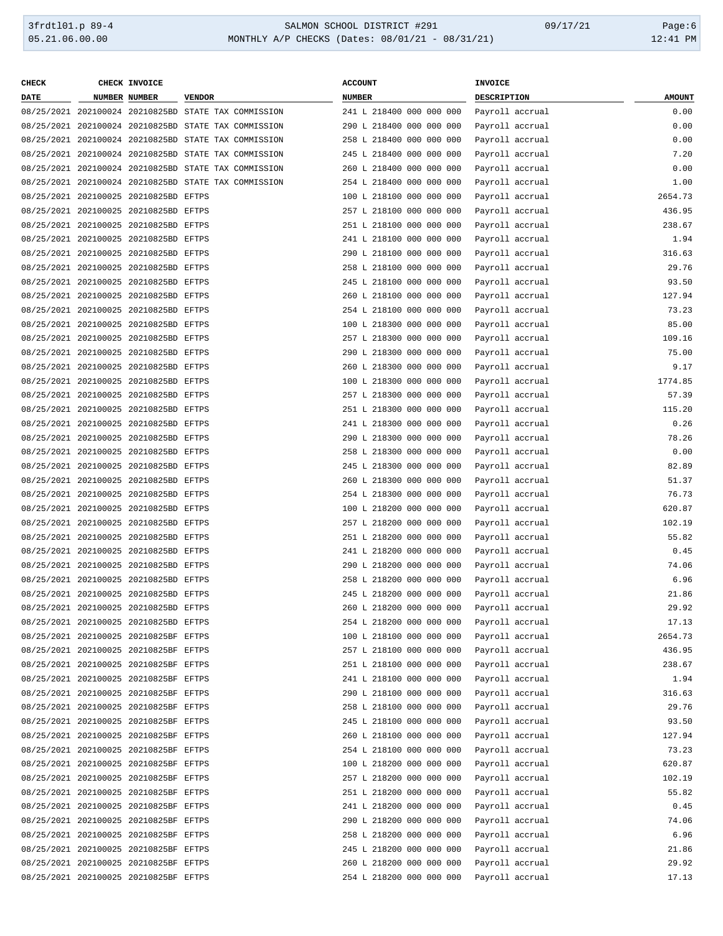### 3frdtl01.p 89-4 <br>
35.21.06.00.00 <br>
35.21.06.00.00 <br>
35.21.06.00.00 <br>
35.21.06.00.00 <br>
31:41 PM MONTHLY A/P CHECKS (Dates: 08/01/21 - 08/31/21)

| <b>CHECK</b> | CHECK INVOICE                         |                                                      | <b>ACCOUNT</b>                           | INVOICE     |                 |               |
|--------------|---------------------------------------|------------------------------------------------------|------------------------------------------|-------------|-----------------|---------------|
| <b>DATE</b>  | <b>NUMBER NUMBER</b>                  | <b>VENDOR</b>                                        | NUMBER                                   | DESCRIPTION |                 | <b>AMOUNT</b> |
|              |                                       | 08/25/2021 202100024 20210825BD STATE TAX COMMISSION | 241 L 218400 000 000 000                 |             | Payroll accrual | 0.00          |
|              |                                       | 08/25/2021 202100024 20210825BD STATE TAX COMMISSION | 290 L 218400 000 000 000                 |             | Payroll accrual | 0.00          |
|              |                                       | 08/25/2021 202100024 20210825BD STATE TAX COMMISSION | 258 L 218400 000 000 000                 |             | Payroll accrual | 0.00          |
|              |                                       | 08/25/2021 202100024 20210825BD STATE TAX COMMISSION | 245 L 218400 000 000 000                 |             | Payroll accrual | 7.20          |
|              |                                       | 08/25/2021 202100024 20210825BD STATE TAX COMMISSION | 260 L 218400 000 000 000                 |             | Payroll accrual | 0.00          |
|              |                                       | 08/25/2021 202100024 20210825BD STATE TAX COMMISSION | 254 L 218400 000 000 000                 |             | Payroll accrual | 1.00          |
|              | 08/25/2021 202100025 20210825BD EFTPS |                                                      | 100 L 218100 000 000 000                 |             | Payroll accrual | 2654.73       |
|              | 08/25/2021 202100025 20210825BD EFTPS |                                                      | 257 L 218100 000 000 000                 |             | Payroll accrual | 436.95        |
|              | 08/25/2021 202100025 20210825BD EFTPS |                                                      | 251 L 218100 000 000 000                 |             | Payroll accrual | 238.67        |
|              | 08/25/2021 202100025 20210825BD EFTPS |                                                      | 241 L 218100 000 000 000                 |             | Payroll accrual | 1.94          |
|              | 08/25/2021 202100025 20210825BD EFTPS |                                                      | 290 L 218100 000 000 000                 |             | Payroll accrual | 316.63        |
|              | 08/25/2021 202100025 20210825BD EFTPS |                                                      | 258 L 218100 000 000 000                 |             | Payroll accrual | 29.76         |
|              | 08/25/2021 202100025 20210825BD EFTPS |                                                      | 245 L 218100 000 000 000                 |             | Payroll accrual | 93.50         |
|              | 08/25/2021 202100025 20210825BD EFTPS |                                                      | 260 L 218100 000 000 000                 |             | Payroll accrual | 127.94        |
|              | 08/25/2021 202100025 20210825BD EFTPS |                                                      | 254 L 218100 000 000 000                 |             |                 | 73.23         |
|              | 08/25/2021 202100025 20210825BD EFTPS |                                                      |                                          |             | Payroll accrual | 85.00         |
|              |                                       |                                                      | 100 L 218300 000 000 000                 |             | Payroll accrual |               |
|              | 08/25/2021 202100025 20210825BD EFTPS |                                                      | 257 L 218300 000 000 000                 |             | Payroll accrual | 109.16        |
|              | 08/25/2021 202100025 20210825BD EFTPS |                                                      | 290 L 218300 000 000 000                 |             | Payroll accrual | 75.00         |
|              | 08/25/2021 202100025 20210825BD EFTPS |                                                      | 260 L 218300 000 000 000                 |             | Payroll accrual | 9.17          |
|              | 08/25/2021 202100025 20210825BD EFTPS |                                                      | 100 L 218300 000 000 000                 |             | Payroll accrual | 1774.85       |
|              | 08/25/2021 202100025 20210825BD EFTPS |                                                      | 257 L 218300 000 000 000                 |             | Payroll accrual | 57.39         |
|              | 08/25/2021 202100025 20210825BD EFTPS |                                                      | 251 L 218300 000 000 000                 |             | Payroll accrual | 115.20        |
|              | 08/25/2021 202100025 20210825BD EFTPS |                                                      | 241 L 218300 000 000 000                 |             | Payroll accrual | 0.26          |
|              | 08/25/2021 202100025 20210825BD EFTPS |                                                      | 290 L 218300 000 000 000                 |             | Payroll accrual | 78.26         |
|              | 08/25/2021 202100025 20210825BD EFTPS |                                                      | 258 L 218300 000 000 000                 |             | Payroll accrual | 0.00          |
|              | 08/25/2021 202100025 20210825BD EFTPS |                                                      | 245 L 218300 000 000 000                 |             | Payroll accrual | 82.89         |
|              | 08/25/2021 202100025 20210825BD EFTPS |                                                      | 260 L 218300 000 000 000                 |             | Payroll accrual | 51.37         |
|              | 08/25/2021 202100025 20210825BD EFTPS |                                                      | 254 L 218300 000 000 000                 |             | Payroll accrual | 76.73         |
|              | 08/25/2021 202100025 20210825BD EFTPS |                                                      | 100 L 218200 000 000 000                 |             | Payroll accrual | 620.87        |
|              | 08/25/2021 202100025 20210825BD EFTPS |                                                      | 257 L 218200 000 000 000                 |             | Payroll accrual | 102.19        |
|              | 08/25/2021 202100025 20210825BD EFTPS |                                                      | 251 L 218200 000 000 000                 |             | Payroll accrual | 55.82         |
|              | 08/25/2021 202100025 20210825BD EFTPS |                                                      | 241 L 218200 000 000 000                 |             | Payroll accrual | 0.45          |
|              | 08/25/2021 202100025 20210825BD EFTPS |                                                      | 290 L 218200 000 000 000                 |             | Payroll accrual | 74.06         |
|              | 08/25/2021 202100025 20210825BD EFTPS |                                                      | 258 L 218200 000 000 000                 |             | Payroll accrual | 6.96          |
|              | 08/25/2021 202100025 20210825BD EFTPS |                                                      | 245 L 218200 000 000 000                 |             | Payroll accrual | 21.86         |
|              | 08/25/2021 202100025 20210825BD EFTPS |                                                      | 260 L 218200 000 000 000 Payroll accrual |             |                 | 29.92         |
|              | 08/25/2021 202100025 20210825BD EFTPS |                                                      | 254 L 218200 000 000 000                 |             | Payroll accrual | 17.13         |
|              | 08/25/2021 202100025 20210825BF EFTPS |                                                      | 100 L 218100 000 000 000                 |             | Payroll accrual | 2654.73       |
|              | 08/25/2021 202100025 20210825BF EFTPS |                                                      | 257 L 218100 000 000 000                 |             | Payroll accrual | 436.95        |
|              | 08/25/2021 202100025 20210825BF EFTPS |                                                      | 251 L 218100 000 000 000                 |             | Payroll accrual | 238.67        |
|              | 08/25/2021 202100025 20210825BF EFTPS |                                                      | 241 L 218100 000 000 000                 |             | Payroll accrual | 1.94          |
|              | 08/25/2021 202100025 20210825BF EFTPS |                                                      | 290 L 218100 000 000 000                 |             | Payroll accrual | 316.63        |
|              | 08/25/2021 202100025 20210825BF EFTPS |                                                      | 258 L 218100 000 000 000                 |             | Payroll accrual | 29.76         |
|              | 08/25/2021 202100025 20210825BF EFTPS |                                                      | 245 L 218100 000 000 000                 |             | Payroll accrual | 93.50         |
|              | 08/25/2021 202100025 20210825BF EFTPS |                                                      | 260 L 218100 000 000 000                 |             | Payroll accrual | 127.94        |
|              | 08/25/2021 202100025 20210825BF EFTPS |                                                      | 254 L 218100 000 000 000                 |             | Payroll accrual | 73.23         |
|              | 08/25/2021 202100025 20210825BF EFTPS |                                                      | 100 L 218200 000 000 000                 |             | Payroll accrual | 620.87        |
|              | 08/25/2021 202100025 20210825BF EFTPS |                                                      | 257 L 218200 000 000 000                 |             | Payroll accrual | 102.19        |
|              | 08/25/2021 202100025 20210825BF EFTPS |                                                      | 251 L 218200 000 000 000                 |             | Payroll accrual | 55.82         |
|              | 08/25/2021 202100025 20210825BF EFTPS |                                                      | 241 L 218200 000 000 000                 |             | Payroll accrual | 0.45          |
|              | 08/25/2021 202100025 20210825BF EFTPS |                                                      | 290 L 218200 000 000 000                 |             | Payroll accrual | 74.06         |
|              | 08/25/2021 202100025 20210825BF EFTPS |                                                      | 258 L 218200 000 000 000                 |             | Payroll accrual | 6.96          |
|              | 08/25/2021 202100025 20210825BF EFTPS |                                                      | 245 L 218200 000 000 000                 |             | Payroll accrual | 21.86         |
|              |                                       |                                                      |                                          |             |                 |               |
|              | 08/25/2021 202100025 20210825BF EFTPS |                                                      | 260 L 218200 000 000 000                 |             | Payroll accrual | 29.92         |
|              | 08/25/2021 202100025 20210825BF EFTPS |                                                      | 254 L 218200 000 000 000                 |             | Payroll accrual | 17.13         |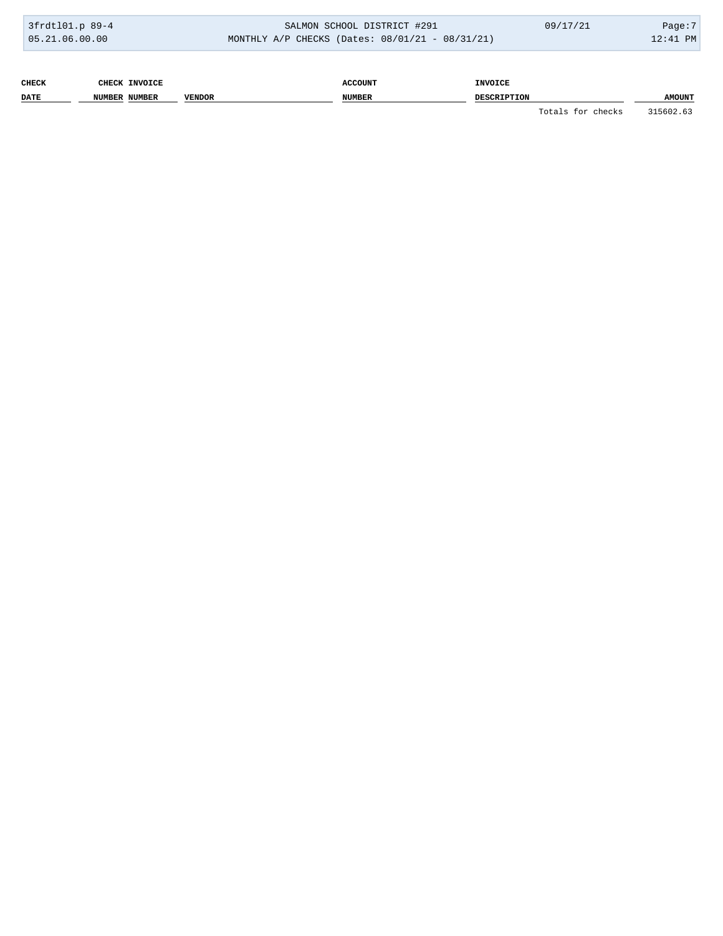| 3frdt101.p 89-4 | SALMON SCHOOL DISTRICT #291                        | 09/17/21 | Page: $7$ |
|-----------------|----------------------------------------------------|----------|-----------|
| 05.21.06.00.00  | MONTHLY A/P CHECKS (Dates: $08/01/21 - 08/31/21$ ) |          | 12:41 PM  |

| <b>CHECK</b> |               | <b>CHECK INVOICE</b> |               | <b>ACCOUNT</b> | <b>INVOICE</b>     |                   |               |
|--------------|---------------|----------------------|---------------|----------------|--------------------|-------------------|---------------|
| <b>DATE</b>  | NUMBER NUMBER |                      | <b>VENDOR</b> | <b>NUMBER</b>  | <b>DESCRIPTION</b> |                   | <b>AMOUNT</b> |
|              |               |                      |               |                |                    | Totals for checks | 315602.63     |